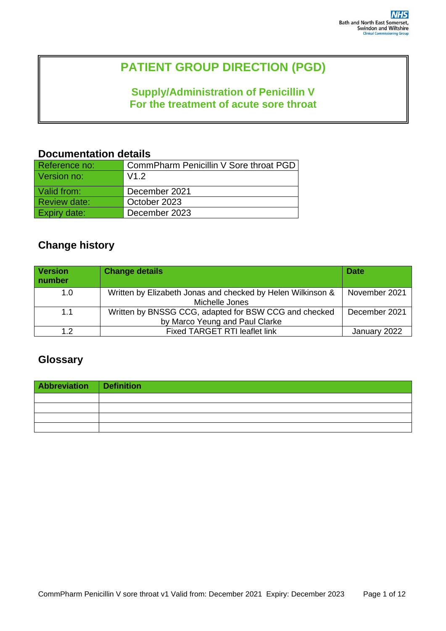# **PATIENT GROUP DIRECTION (PGD)**

## **Supply/Administration of Penicillin V For the treatment of acute sore throat**

### **Documentation details**

| Reference no:       | CommPharm Penicillin V Sore throat PGD |
|---------------------|----------------------------------------|
| Version no:         | V1.2                                   |
| Valid from:         | December 2021                          |
| <b>Review date:</b> | October 2023                           |
| <b>Expiry date:</b> | December 2023                          |

# **Change history**

| <b>Version</b><br>number | <b>Change details</b>                                                                   | <b>Date</b>   |
|--------------------------|-----------------------------------------------------------------------------------------|---------------|
| 1.0                      | Written by Elizabeth Jonas and checked by Helen Wilkinson &<br>Michelle Jones           | November 2021 |
| 1.1                      | Written by BNSSG CCG, adapted for BSW CCG and checked<br>by Marco Yeung and Paul Clarke | December 2021 |
| 1.2                      | <b>Fixed TARGET RTI leaflet link</b>                                                    | January 2022  |

### **Glossary**

| Abbreviation Definition |  |
|-------------------------|--|
|                         |  |
|                         |  |
|                         |  |
|                         |  |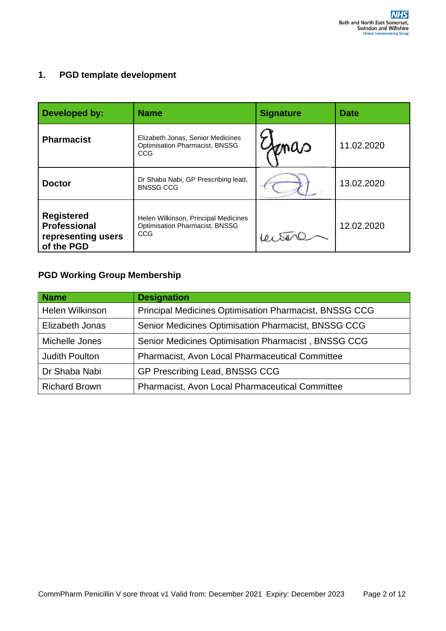#### **1. PGD template development**

| Developed by:                                                                | <b>Name</b>                                                                          | <b>Signature</b> | Date       |
|------------------------------------------------------------------------------|--------------------------------------------------------------------------------------|------------------|------------|
| <b>Pharmacist</b>                                                            | Elizabeth Jonas, Senior Medicines<br><b>Optimisation Pharmacist, BNSSG</b><br>CCG.   | mao              | 11.02.2020 |
| <b>Doctor</b>                                                                | Dr Shaba Nabi, GP Prescribing lead,<br><b>BNSSG CCG</b>                              |                  | 13.02.2020 |
| <b>Registered</b><br><b>Professional</b><br>representing users<br>of the PGD | Helen Wilkinson, Principal Medicines<br><b>Optimisation Pharmacist, BNSSG</b><br>CCG |                  | 12.02.2020 |

### **PGD Working Group Membership**

| <b>Name</b>            | <b>Designation</b>                                            |
|------------------------|---------------------------------------------------------------|
| <b>Helen Wilkinson</b> | <b>Principal Medicines Optimisation Pharmacist, BNSSG CCG</b> |
| Elizabeth Jonas        | Senior Medicines Optimisation Pharmacist, BNSSG CCG           |
| Michelle Jones         | Senior Medicines Optimisation Pharmacist, BNSSG CCG           |
| <b>Judith Poulton</b>  | <b>Pharmacist, Avon Local Pharmaceutical Committee</b>        |
| Dr Shaba Nabi          | GP Prescribing Lead, BNSSG CCG                                |
| <b>Richard Brown</b>   | Pharmacist, Avon Local Pharmaceutical Committee               |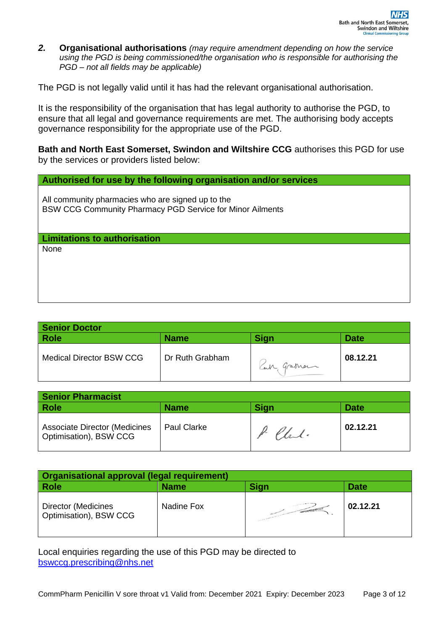*2.* **Organisational authorisations** *(may require amendment depending on how the service using the PGD is being commissioned/the organisation who is responsible for authorising the PGD – not all fields may be applicable)* 

The PGD is not legally valid until it has had the relevant organisational authorisation.

It is the responsibility of the organisation that has legal authority to authorise the PGD, to ensure that all legal and governance requirements are met. The authorising body accepts governance responsibility for the appropriate use of the PGD.

**Bath and North East Somerset, Swindon and Wiltshire CCG** authorises this PGD for use by the services or providers listed below:

#### **Authorised for use by the following organisation and/or services**

All community pharmacies who are signed up to the BSW CCG Community Pharmacy PGD Service for Minor Ailments

#### **Limitations to authorisation**

None

| <b>Senior Doctor</b>            |                 |            |             |
|---------------------------------|-----------------|------------|-------------|
| <b>Role</b>                     | <b>Name</b>     | Sign       | <b>Date</b> |
| <b>Medical Director BSW CCG</b> | Dr Ruth Grabham | Can Graman | 08.12.21    |

| Senior Pharmacist                                              |                    |             |             |
|----------------------------------------------------------------|--------------------|-------------|-------------|
| Role                                                           | <b>Name</b>        | <b>Sign</b> | <b>Date</b> |
| <b>Associate Director (Medicines</b><br>Optimisation), BSW CCG | <b>Paul Clarke</b> | P. Chal.    | 02.12.21    |

| Organisational approval (legal requirement)   |             |                   |             |
|-----------------------------------------------|-------------|-------------------|-------------|
| <b>Role</b>                                   | <b>Name</b> | Sign              | <b>Date</b> |
| Director (Medicines<br>Optimisation), BSW CCG | Nadine Fox  | <b>CONTRACTOR</b> | 02.12.21    |

Local enquiries regarding the use of this PGD may be directed to [bswccg.prescribing@nhs.net](mailto:bswccg.prescribing@nhs.net)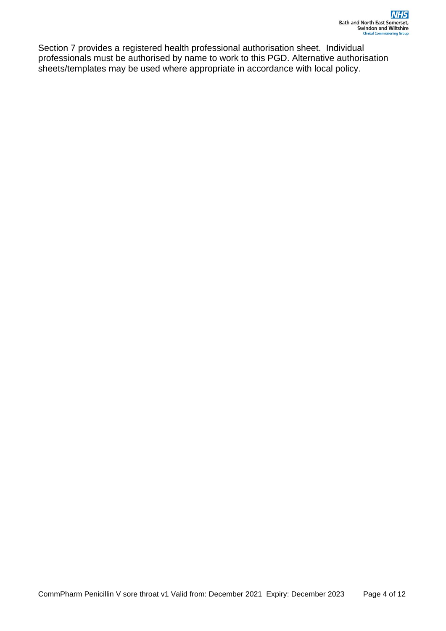Section 7 provides a registered health professional authorisation sheet. Individual professionals must be authorised by name to work to this PGD. Alternative authorisation sheets/templates may be used where appropriate in accordance with local policy.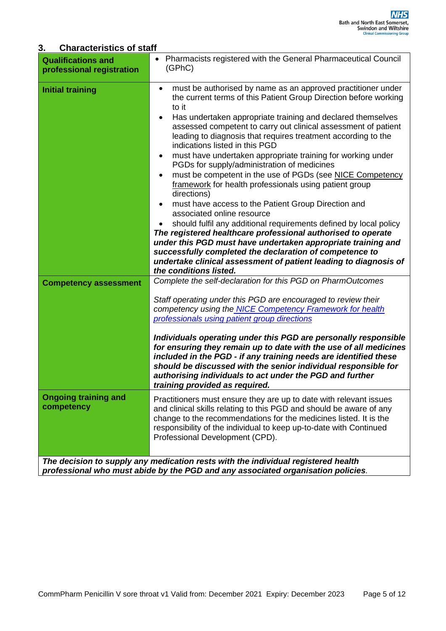### **3. Characteristics of staff**

| <b>Qualifications and</b><br>professional registration                                                                                                                | Pharmacists registered with the General Pharmaceutical Council<br>(GPhC)                                                                                                                                                                                                                                                                                                                                                                                                                                                                                                                                                                                                                                                                                                                                                                                                                                                                                                                                                                                                                                                                                                                        |
|-----------------------------------------------------------------------------------------------------------------------------------------------------------------------|-------------------------------------------------------------------------------------------------------------------------------------------------------------------------------------------------------------------------------------------------------------------------------------------------------------------------------------------------------------------------------------------------------------------------------------------------------------------------------------------------------------------------------------------------------------------------------------------------------------------------------------------------------------------------------------------------------------------------------------------------------------------------------------------------------------------------------------------------------------------------------------------------------------------------------------------------------------------------------------------------------------------------------------------------------------------------------------------------------------------------------------------------------------------------------------------------|
| <b>Initial training</b><br><b>Competency assessment</b>                                                                                                               | must be authorised by name as an approved practitioner under<br>$\bullet$<br>the current terms of this Patient Group Direction before working<br>to it<br>Has undertaken appropriate training and declared themselves<br>assessed competent to carry out clinical assessment of patient<br>leading to diagnosis that requires treatment according to the<br>indications listed in this PGD<br>must have undertaken appropriate training for working under<br>$\bullet$<br>PGDs for supply/administration of medicines<br>must be competent in the use of PGDs (see NICE Competency<br>$\bullet$<br>framework for health professionals using patient group<br>directions)<br>must have access to the Patient Group Direction and<br>٠<br>associated online resource<br>should fulfil any additional requirements defined by local policy<br>The registered healthcare professional authorised to operate<br>under this PGD must have undertaken appropriate training and<br>successfully completed the declaration of competence to<br>undertake clinical assessment of patient leading to diagnosis of<br>the conditions listed.<br>Complete the self-declaration for this PGD on PharmOutcomes |
| <b>Ongoing training and</b><br>competency                                                                                                                             | Staff operating under this PGD are encouraged to review their<br>competency using the NICE Competency Framework for health<br>professionals using patient group directions<br>Individuals operating under this PGD are personally responsible<br>for ensuring they remain up to date with the use of all medicines<br>included in the PGD - if any training needs are identified these<br>should be discussed with the senior individual responsible for<br>authorising individuals to act under the PGD and further<br>training provided as required.<br>Practitioners must ensure they are up to date with relevant issues<br>and clinical skills relating to this PGD and should be aware of any<br>change to the recommendations for the medicines listed. It is the<br>responsibility of the individual to keep up-to-date with Continued<br>Professional Development (CPD).                                                                                                                                                                                                                                                                                                               |
| The decision to supply any medication rests with the individual registered health<br>professional who must abide by the PGD and any associated organisation policies. |                                                                                                                                                                                                                                                                                                                                                                                                                                                                                                                                                                                                                                                                                                                                                                                                                                                                                                                                                                                                                                                                                                                                                                                                 |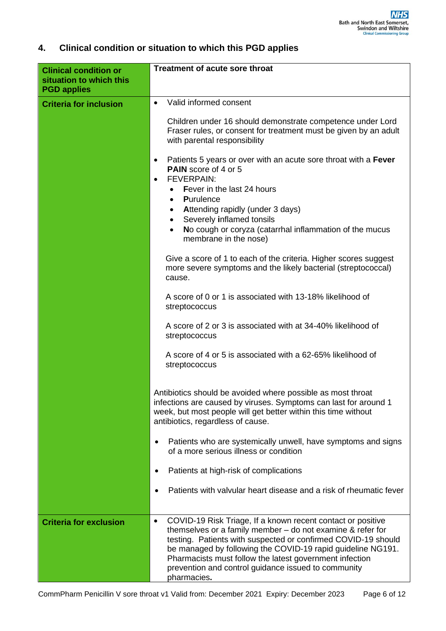### **4. Clinical condition or situation to which this PGD applies**

| <b>Clinical condition or</b><br>situation to which this<br><b>PGD applies</b> | <b>Treatment of acute sore throat</b>                                                                                                                                                                                                                                                                                                                                                                     |
|-------------------------------------------------------------------------------|-----------------------------------------------------------------------------------------------------------------------------------------------------------------------------------------------------------------------------------------------------------------------------------------------------------------------------------------------------------------------------------------------------------|
| <b>Criteria for inclusion</b>                                                 | Valid informed consent<br>$\bullet$                                                                                                                                                                                                                                                                                                                                                                       |
|                                                                               |                                                                                                                                                                                                                                                                                                                                                                                                           |
|                                                                               | Children under 16 should demonstrate competence under Lord<br>Fraser rules, or consent for treatment must be given by an adult<br>with parental responsibility                                                                                                                                                                                                                                            |
|                                                                               | Patients 5 years or over with an acute sore throat with a Fever<br>$\bullet$<br><b>PAIN</b> score of 4 or 5<br><b>FEVERPAIN:</b><br>$\bullet$                                                                                                                                                                                                                                                             |
|                                                                               | Fever in the last 24 hours<br>Purulence<br>$\bullet$                                                                                                                                                                                                                                                                                                                                                      |
|                                                                               | Attending rapidly (under 3 days)<br>Severely inflamed tonsils                                                                                                                                                                                                                                                                                                                                             |
|                                                                               | No cough or coryza (catarrhal inflammation of the mucus<br>$\bullet$<br>membrane in the nose)                                                                                                                                                                                                                                                                                                             |
|                                                                               | Give a score of 1 to each of the criteria. Higher scores suggest<br>more severe symptoms and the likely bacterial (streptococcal)<br>cause.                                                                                                                                                                                                                                                               |
|                                                                               | A score of 0 or 1 is associated with 13-18% likelihood of<br>streptococcus                                                                                                                                                                                                                                                                                                                                |
|                                                                               | A score of 2 or 3 is associated with at 34-40% likelihood of<br>streptococcus                                                                                                                                                                                                                                                                                                                             |
|                                                                               | A score of 4 or 5 is associated with a 62-65% likelihood of<br>streptococcus                                                                                                                                                                                                                                                                                                                              |
|                                                                               | Antibiotics should be avoided where possible as most throat<br>infections are caused by viruses. Symptoms can last for around 1<br>week, but most people will get better within this time without<br>antibiotics, regardless of cause.                                                                                                                                                                    |
|                                                                               | Patients who are systemically unwell, have symptoms and signs<br>of a more serious illness or condition                                                                                                                                                                                                                                                                                                   |
|                                                                               | Patients at high-risk of complications                                                                                                                                                                                                                                                                                                                                                                    |
|                                                                               | Patients with valvular heart disease and a risk of rheumatic fever                                                                                                                                                                                                                                                                                                                                        |
| <b>Criteria for exclusion</b>                                                 | COVID-19 Risk Triage, If a known recent contact or positive<br>$\bullet$<br>themselves or a family member $-$ do not examine & refer for<br>testing. Patients with suspected or confirmed COVID-19 should<br>be managed by following the COVID-19 rapid guideline NG191.<br>Pharmacists must follow the latest government infection<br>prevention and control guidance issued to community<br>pharmacies. |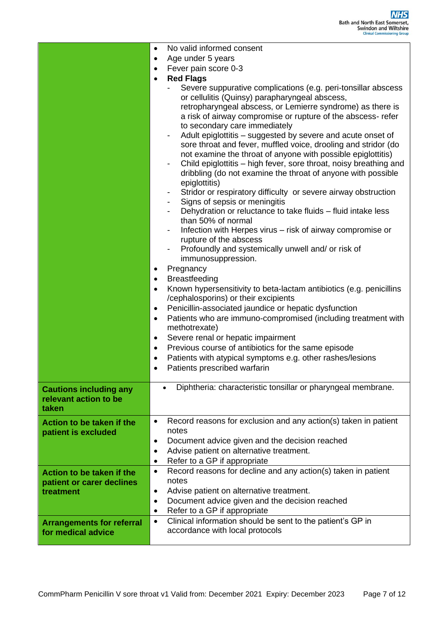|                                                                 | No valid informed consent<br>$\bullet$                                                                                                                                                                                                                                                                                                                                                                                                                                                                                                                                                                                                                                                                                                                                                                                                                                                                                                                                                                                                                                                                                                                                                                                                                                                                                                                                                                                                                |
|-----------------------------------------------------------------|-------------------------------------------------------------------------------------------------------------------------------------------------------------------------------------------------------------------------------------------------------------------------------------------------------------------------------------------------------------------------------------------------------------------------------------------------------------------------------------------------------------------------------------------------------------------------------------------------------------------------------------------------------------------------------------------------------------------------------------------------------------------------------------------------------------------------------------------------------------------------------------------------------------------------------------------------------------------------------------------------------------------------------------------------------------------------------------------------------------------------------------------------------------------------------------------------------------------------------------------------------------------------------------------------------------------------------------------------------------------------------------------------------------------------------------------------------|
|                                                                 | Age under 5 years<br>٠                                                                                                                                                                                                                                                                                                                                                                                                                                                                                                                                                                                                                                                                                                                                                                                                                                                                                                                                                                                                                                                                                                                                                                                                                                                                                                                                                                                                                                |
|                                                                 | Fever pain score 0-3<br>$\bullet$                                                                                                                                                                                                                                                                                                                                                                                                                                                                                                                                                                                                                                                                                                                                                                                                                                                                                                                                                                                                                                                                                                                                                                                                                                                                                                                                                                                                                     |
|                                                                 | <b>Red Flags</b><br>$\bullet$                                                                                                                                                                                                                                                                                                                                                                                                                                                                                                                                                                                                                                                                                                                                                                                                                                                                                                                                                                                                                                                                                                                                                                                                                                                                                                                                                                                                                         |
|                                                                 | Severe suppurative complications (e.g. peri-tonsillar abscess<br>or cellulitis (Quinsy) parapharyngeal abscess,<br>retropharyngeal abscess, or Lemierre syndrome) as there is<br>a risk of airway compromise or rupture of the abscess- refer<br>to secondary care immediately<br>Adult epiglottitis - suggested by severe and acute onset of<br>sore throat and fever, muffled voice, drooling and stridor (do<br>not examine the throat of anyone with possible epiglottitis)<br>Child epiglottitis - high fever, sore throat, noisy breathing and<br>$\overline{\phantom{a}}$<br>dribbling (do not examine the throat of anyone with possible<br>epiglottitis)<br>Stridor or respiratory difficulty or severe airway obstruction<br>$\overline{\phantom{a}}$<br>Signs of sepsis or meningitis<br>Dehydration or reluctance to take fluids - fluid intake less<br>than 50% of normal<br>Infection with Herpes virus - risk of airway compromise or<br>rupture of the abscess<br>Profoundly and systemically unwell and/ or risk of<br>immunosuppression.<br>Pregnancy<br>$\bullet$<br><b>Breastfeeding</b><br>٠<br>Known hypersensitivity to beta-lactam antibiotics (e.g. penicillins<br>$\bullet$<br>/cephalosporins) or their excipients<br>Penicillin-associated jaundice or hepatic dysfunction<br>٠<br>Patients who are immuno-compromised (including treatment with<br>$\bullet$<br>methotrexate)<br>Severe renal or hepatic impairment<br>٠ |
|                                                                 | Previous course of antibiotics for the same episode<br>$\bullet$<br>Patients with atypical symptoms e.g. other rashes/lesions<br>$\bullet$<br>Patients prescribed warfarin<br>$\bullet$                                                                                                                                                                                                                                                                                                                                                                                                                                                                                                                                                                                                                                                                                                                                                                                                                                                                                                                                                                                                                                                                                                                                                                                                                                                               |
|                                                                 |                                                                                                                                                                                                                                                                                                                                                                                                                                                                                                                                                                                                                                                                                                                                                                                                                                                                                                                                                                                                                                                                                                                                                                                                                                                                                                                                                                                                                                                       |
| <b>Cautions including any</b><br>relevant action to be<br>taken | Diphtheria: characteristic tonsillar or pharyngeal membrane.                                                                                                                                                                                                                                                                                                                                                                                                                                                                                                                                                                                                                                                                                                                                                                                                                                                                                                                                                                                                                                                                                                                                                                                                                                                                                                                                                                                          |
| Action to be taken if the<br>patient is excluded                | Record reasons for exclusion and any action(s) taken in patient<br>$\bullet$<br>notes                                                                                                                                                                                                                                                                                                                                                                                                                                                                                                                                                                                                                                                                                                                                                                                                                                                                                                                                                                                                                                                                                                                                                                                                                                                                                                                                                                 |
|                                                                 | Document advice given and the decision reached                                                                                                                                                                                                                                                                                                                                                                                                                                                                                                                                                                                                                                                                                                                                                                                                                                                                                                                                                                                                                                                                                                                                                                                                                                                                                                                                                                                                        |
|                                                                 | Advise patient on alternative treatment.<br>٠                                                                                                                                                                                                                                                                                                                                                                                                                                                                                                                                                                                                                                                                                                                                                                                                                                                                                                                                                                                                                                                                                                                                                                                                                                                                                                                                                                                                         |
|                                                                 | Refer to a GP if appropriate<br>٠                                                                                                                                                                                                                                                                                                                                                                                                                                                                                                                                                                                                                                                                                                                                                                                                                                                                                                                                                                                                                                                                                                                                                                                                                                                                                                                                                                                                                     |
| Action to be taken if the                                       | Record reasons for decline and any action(s) taken in patient<br>٠<br>notes                                                                                                                                                                                                                                                                                                                                                                                                                                                                                                                                                                                                                                                                                                                                                                                                                                                                                                                                                                                                                                                                                                                                                                                                                                                                                                                                                                           |
| patient or carer declines<br>treatment                          | Advise patient on alternative treatment.<br>٠                                                                                                                                                                                                                                                                                                                                                                                                                                                                                                                                                                                                                                                                                                                                                                                                                                                                                                                                                                                                                                                                                                                                                                                                                                                                                                                                                                                                         |
|                                                                 | Document advice given and the decision reached<br>$\bullet$                                                                                                                                                                                                                                                                                                                                                                                                                                                                                                                                                                                                                                                                                                                                                                                                                                                                                                                                                                                                                                                                                                                                                                                                                                                                                                                                                                                           |
|                                                                 | Refer to a GP if appropriate<br>٠                                                                                                                                                                                                                                                                                                                                                                                                                                                                                                                                                                                                                                                                                                                                                                                                                                                                                                                                                                                                                                                                                                                                                                                                                                                                                                                                                                                                                     |
| <b>Arrangements for referral</b>                                | Clinical information should be sent to the patient's GP in<br>$\bullet$                                                                                                                                                                                                                                                                                                                                                                                                                                                                                                                                                                                                                                                                                                                                                                                                                                                                                                                                                                                                                                                                                                                                                                                                                                                                                                                                                                               |
| for medical advice                                              | accordance with local protocols                                                                                                                                                                                                                                                                                                                                                                                                                                                                                                                                                                                                                                                                                                                                                                                                                                                                                                                                                                                                                                                                                                                                                                                                                                                                                                                                                                                                                       |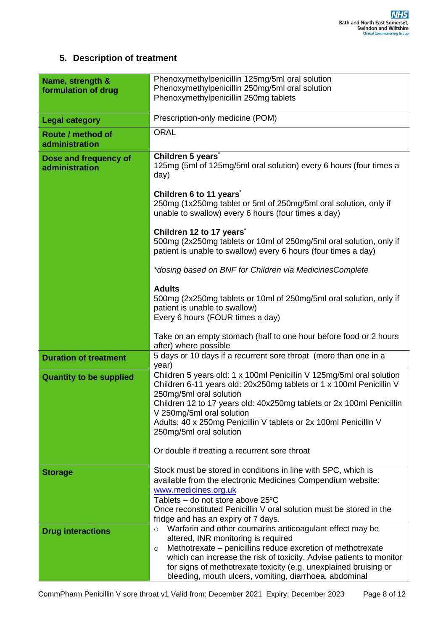#### **5. Description of treatment**

| Name, strength &<br>formulation of drug | Phenoxymethylpenicillin 125mg/5ml oral solution<br>Phenoxymethylpenicillin 250mg/5ml oral solution<br>Phenoxymethylpenicillin 250mg tablets                                                                                                                                                                                                                                                                                 |
|-----------------------------------------|-----------------------------------------------------------------------------------------------------------------------------------------------------------------------------------------------------------------------------------------------------------------------------------------------------------------------------------------------------------------------------------------------------------------------------|
| <b>Legal category</b>                   | Prescription-only medicine (POM)                                                                                                                                                                                                                                                                                                                                                                                            |
| Route / method of<br>administration     | <b>ORAL</b>                                                                                                                                                                                                                                                                                                                                                                                                                 |
| Dose and frequency of<br>administration | Children 5 years <sup>*</sup><br>125mg (5ml of 125mg/5ml oral solution) every 6 hours (four times a<br>day)                                                                                                                                                                                                                                                                                                                 |
|                                         | Children 6 to 11 years <sup>*</sup><br>250mg (1x250mg tablet or 5ml of 250mg/5ml oral solution, only if<br>unable to swallow) every 6 hours (four times a day)                                                                                                                                                                                                                                                              |
|                                         | Children 12 to 17 years <sup>*</sup><br>500mg (2x250mg tablets or 10ml of 250mg/5ml oral solution, only if<br>patient is unable to swallow) every 6 hours (four times a day)                                                                                                                                                                                                                                                |
|                                         | *dosing based on BNF for Children via MedicinesComplete                                                                                                                                                                                                                                                                                                                                                                     |
|                                         | <b>Adults</b><br>500mg (2x250mg tablets or 10ml of 250mg/5ml oral solution, only if<br>patient is unable to swallow)<br>Every 6 hours (FOUR times a day)                                                                                                                                                                                                                                                                    |
|                                         | Take on an empty stomach (half to one hour before food or 2 hours<br>after) where possible                                                                                                                                                                                                                                                                                                                                  |
| <b>Duration of treatment</b>            | 5 days or 10 days if a recurrent sore throat (more than one in a<br>year)                                                                                                                                                                                                                                                                                                                                                   |
| <b>Quantity to be supplied</b>          | Children 5 years old: 1 x 100ml Penicillin V 125mg/5ml oral solution<br>Children 6-11 years old: 20x250mg tablets or 1 x 100ml Penicillin V<br>250mg/5ml oral solution<br>Children 12 to 17 years old: 40x250mg tablets or 2x 100ml Penicillin<br>V 250mg/5ml oral solution<br>Adults: 40 x 250mg Penicillin V tablets or 2x 100ml Penicillin V<br>250mg/5ml oral solution<br>Or double if treating a recurrent sore throat |
| <b>Storage</b>                          | Stock must be stored in conditions in line with SPC, which is<br>available from the electronic Medicines Compendium website:                                                                                                                                                                                                                                                                                                |
|                                         | www.medicines.org.uk<br>Tablets – do not store above $25^{\circ}$ C<br>Once reconstituted Penicillin V oral solution must be stored in the                                                                                                                                                                                                                                                                                  |
|                                         | fridge and has an expiry of 7 days.                                                                                                                                                                                                                                                                                                                                                                                         |
| <b>Drug interactions</b>                | Warfarin and other coumarins anticoagulant effect may be<br>$\circ$<br>altered, INR monitoring is required<br>Methotrexate – penicillins reduce excretion of methotrexate<br>$\circ$<br>which can increase the risk of toxicity. Advise patients to monitor<br>for signs of methotrexate toxicity (e.g. unexplained bruising or<br>bleeding, mouth ulcers, vomiting, diarrhoea, abdominal                                   |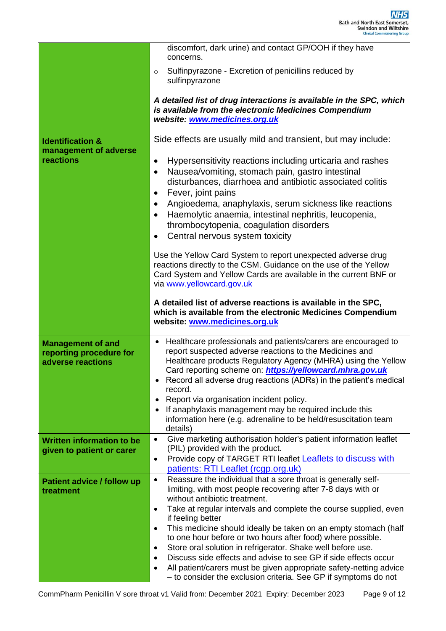|                                                                          | discomfort, dark urine) and contact GP/OOH if they have<br>concerns.                                                                                                                                                                                                                                                                                                                                                                                                                                                                                                                                                                                                                                                                       |
|--------------------------------------------------------------------------|--------------------------------------------------------------------------------------------------------------------------------------------------------------------------------------------------------------------------------------------------------------------------------------------------------------------------------------------------------------------------------------------------------------------------------------------------------------------------------------------------------------------------------------------------------------------------------------------------------------------------------------------------------------------------------------------------------------------------------------------|
|                                                                          | Sulfinpyrazone - Excretion of penicillins reduced by<br>$\circ$<br>sulfinpyrazone                                                                                                                                                                                                                                                                                                                                                                                                                                                                                                                                                                                                                                                          |
|                                                                          | A detailed list of drug interactions is available in the SPC, which<br>is available from the electronic Medicines Compendium<br>website: www.medicines.org.uk                                                                                                                                                                                                                                                                                                                                                                                                                                                                                                                                                                              |
| <b>Identification &amp;</b><br>management of adverse<br>reactions        | Side effects are usually mild and transient, but may include:<br>Hypersensitivity reactions including urticaria and rashes<br>$\bullet$<br>Nausea/vomiting, stomach pain, gastro intestinal<br>$\bullet$<br>disturbances, diarrhoea and antibiotic associated colitis<br>Fever, joint pains<br>$\bullet$<br>Angioedema, anaphylaxis, serum sickness like reactions<br>$\bullet$<br>Haemolytic anaemia, intestinal nephritis, leucopenia,<br>٠<br>thrombocytopenia, coagulation disorders<br>Central nervous system toxicity<br>٠<br>Use the Yellow Card System to report unexpected adverse drug<br>reactions directly to the CSM. Guidance on the use of the Yellow                                                                       |
|                                                                          | Card System and Yellow Cards are available in the current BNF or<br>via www.yellowcard.gov.uk<br>A detailed list of adverse reactions is available in the SPC,<br>which is available from the electronic Medicines Compendium<br>website: www.medicines.org.uk                                                                                                                                                                                                                                                                                                                                                                                                                                                                             |
| <b>Management of and</b><br>reporting procedure for<br>adverse reactions | Healthcare professionals and patients/carers are encouraged to<br>report suspected adverse reactions to the Medicines and<br>Healthcare products Regulatory Agency (MHRA) using the Yellow<br>Card reporting scheme on: <b>https://yellowcard.mhra.gov.uk</b><br>Record all adverse drug reactions (ADRs) in the patient's medical<br>record.<br>Report via organisation incident policy.<br>If anaphylaxis management may be required include this<br>information here (e.g. adrenaline to be held/resuscitation team<br>details)                                                                                                                                                                                                         |
| <b>Written information to be</b><br>given to patient or carer            | Give marketing authorisation holder's patient information leaflet<br>٠<br>(PIL) provided with the product.<br>Provide copy of TARGET RTI leaflet Leaflets to discuss with<br>$\bullet$<br>patients: RTI Leaflet (rcgp.org.uk)                                                                                                                                                                                                                                                                                                                                                                                                                                                                                                              |
| Patient advice / follow up<br>treatment                                  | Reassure the individual that a sore throat is generally self-<br>$\bullet$<br>limiting, with most people recovering after 7-8 days with or<br>without antibiotic treatment.<br>Take at regular intervals and complete the course supplied, even<br>$\bullet$<br>if feeling better<br>This medicine should ideally be taken on an empty stomach (half<br>٠<br>to one hour before or two hours after food) where possible.<br>Store oral solution in refrigerator. Shake well before use.<br>$\bullet$<br>Discuss side effects and advise to see GP if side effects occur<br>$\bullet$<br>All patient/carers must be given appropriate safety-netting advice<br>$\bullet$<br>- to consider the exclusion criteria. See GP if symptoms do not |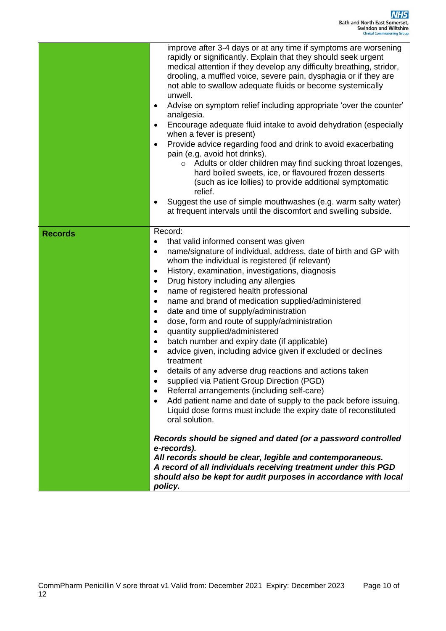|                | improve after 3-4 days or at any time if symptoms are worsening<br>rapidly or significantly. Explain that they should seek urgent<br>medical attention if they develop any difficulty breathing, stridor,<br>drooling, a muffled voice, severe pain, dysphagia or if they are<br>not able to swallow adequate fluids or become systemically<br>unwell.<br>Advise on symptom relief including appropriate 'over the counter'<br>$\bullet$<br>analgesia.<br>Encourage adequate fluid intake to avoid dehydration (especially<br>$\bullet$<br>when a fever is present)<br>Provide advice regarding food and drink to avoid exacerbating<br>$\bullet$<br>pain (e.g. avoid hot drinks).<br>Adults or older children may find sucking throat lozenges,<br>$\circ$<br>hard boiled sweets, ice, or flavoured frozen desserts<br>(such as ice lollies) to provide additional symptomatic<br>relief.<br>Suggest the use of simple mouthwashes (e.g. warm salty water)<br>$\bullet$<br>at frequent intervals until the discomfort and swelling subside.                                                                                                                                                                                                                                                                                                                                                     |
|----------------|--------------------------------------------------------------------------------------------------------------------------------------------------------------------------------------------------------------------------------------------------------------------------------------------------------------------------------------------------------------------------------------------------------------------------------------------------------------------------------------------------------------------------------------------------------------------------------------------------------------------------------------------------------------------------------------------------------------------------------------------------------------------------------------------------------------------------------------------------------------------------------------------------------------------------------------------------------------------------------------------------------------------------------------------------------------------------------------------------------------------------------------------------------------------------------------------------------------------------------------------------------------------------------------------------------------------------------------------------------------------------------------------------|
| <b>Records</b> | Record:<br>that valid informed consent was given<br>$\bullet$<br>name/signature of individual, address, date of birth and GP with<br>$\bullet$<br>whom the individual is registered (if relevant)<br>History, examination, investigations, diagnosis<br>$\bullet$<br>Drug history including any allergies<br>$\bullet$<br>name of registered health professional<br>$\bullet$<br>name and brand of medication supplied/administered<br>$\bullet$<br>date and time of supply/administration<br>$\bullet$<br>dose, form and route of supply/administration<br>٠<br>quantity supplied/administered<br>$\bullet$<br>batch number and expiry date (if applicable)<br>٠<br>advice given, including advice given if excluded or declines<br>$\bullet$<br>treatment<br>details of any adverse drug reactions and actions taken<br>٠<br>supplied via Patient Group Direction (PGD)<br>$\bullet$<br>Referral arrangements (including self-care)<br>٠<br>Add patient name and date of supply to the pack before issuing.<br>$\bullet$<br>Liquid dose forms must include the expiry date of reconstituted<br>oral solution.<br>Records should be signed and dated (or a password controlled<br>e-records).<br>All records should be clear, legible and contemporaneous.<br>A record of all individuals receiving treatment under this PGD<br>should also be kept for audit purposes in accordance with local |

*policy.*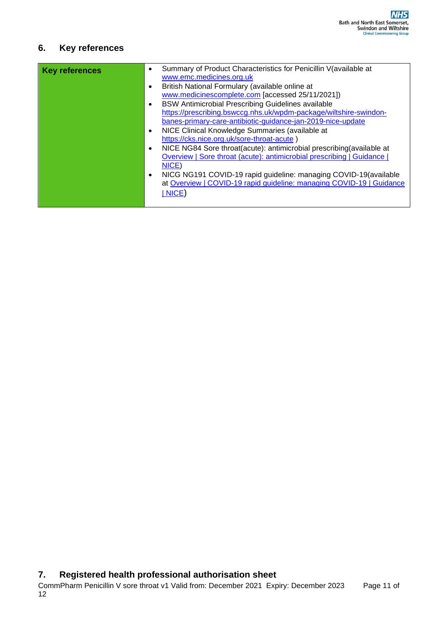### **6. Key references**

| <b>Key references</b> |           | Summary of Product Characteristics for Penicillin V(available at<br>www.emc.medicines.org.uk |
|-----------------------|-----------|----------------------------------------------------------------------------------------------|
|                       | $\bullet$ | British National Formulary (available online at                                              |
|                       |           | www.medicinescomplete.com [accessed 25/11/2021])                                             |
|                       | $\bullet$ | <b>BSW Antimicrobial Prescribing Guidelines available</b>                                    |
|                       |           | https://prescribing.bswccg.nhs.uk/wpdm-package/wiltshire-swindon-                            |
|                       |           | banes-primary-care-antibiotic-guidance-jan-2019-nice-update                                  |
|                       | $\bullet$ | NICE Clinical Knowledge Summaries (available at                                              |
|                       |           | https://cks.nice.org.uk/sore-throat-acute)                                                   |
|                       | $\bullet$ | NICE NG84 Sore throat(acute): antimicrobial prescribing(available at                         |
|                       |           | Overview   Sore throat (acute): antimicrobial prescribing   Guidance                         |
|                       |           | NICE)                                                                                        |
|                       | $\bullet$ | NICG NG191 COVID-19 rapid guideline: managing COVID-19 (available                            |
|                       |           | at Overview   COVID-19 rapid guideline: managing COVID-19   Guidance                         |
|                       |           | NICE)                                                                                        |
|                       |           |                                                                                              |